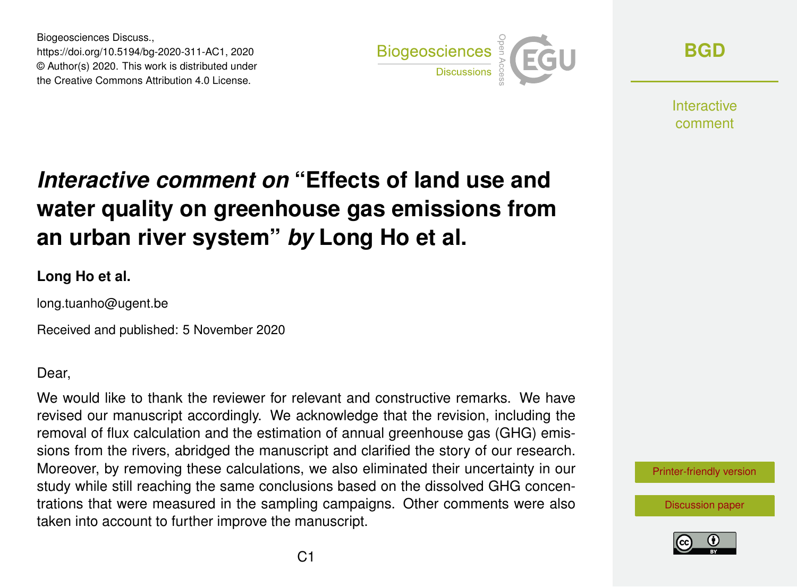Biogeosciences Discuss., https://doi.org/10.5194/bg-2020-311-AC1, 2020 © Author(s) 2020. This work is distributed under the Creative Commons Attribution 4.0 License.



**[BGD](https://bg.copernicus.org/preprints/)**

**Interactive** comment

## *Interactive comment on* **"Effects of land use and water quality on greenhouse gas emissions from an urban river system"** *by* **Long Ho et al.**

## **Long Ho et al.**

long.tuanho@ugent.be

Received and published: 5 November 2020

Dear,

We would like to thank the reviewer for relevant and constructive remarks. We have revised our manuscript accordingly. We acknowledge that the revision, including the removal of flux calculation and the estimation of annual greenhouse gas (GHG) emissions from the rivers, abridged the manuscript and clarified the story of our research. Moreover, by removing these calculations, we also eliminated their uncertainty in our study while still reaching the same conclusions based on the dissolved GHG concentrations that were measured in the sampling campaigns. Other comments were also taken into account to further improve the manuscript.

[Printer-friendly version](https://bg.copernicus.org/preprints/bg-2020-311/bg-2020-311-AC1-print.pdf)

[Discussion paper](https://bg.copernicus.org/preprints/bg-2020-311)